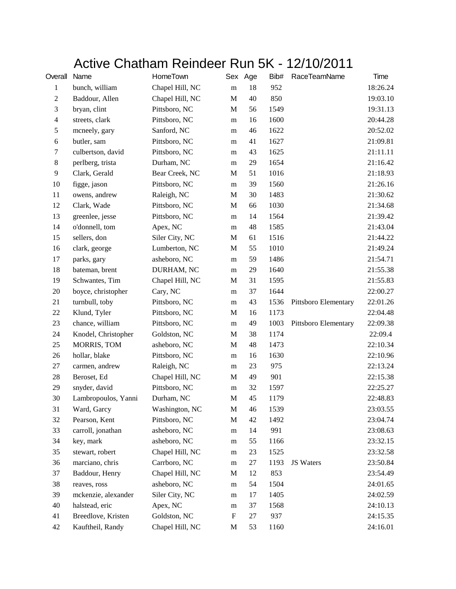## Active Chatham Reindeer Run 5K - 12/10/2011

| Overall          | Name                | HomeTown        |             | Sex Age | Bib# | <b>RaceTeamName</b>  | Time     |
|------------------|---------------------|-----------------|-------------|---------|------|----------------------|----------|
| 1                | bunch, william      | Chapel Hill, NC | ${\rm m}$   | 18      | 952  |                      | 18:26.24 |
| $\boldsymbol{2}$ | Baddour, Allen      | Chapel Hill, NC | $\mathbf M$ | 40      | 850  |                      | 19:03.10 |
| 3                | bryan, clint        | Pittsboro, NC   | M           | 56      | 1549 |                      | 19:31.13 |
| $\overline{4}$   | streets, clark      | Pittsboro, NC   | m           | 16      | 1600 |                      | 20:44.28 |
| $\mathfrak s$    | mcneely, gary       | Sanford, NC     | m           | 46      | 1622 |                      | 20:52.02 |
| 6                | butler, sam         | Pittsboro, NC   | m           | 41      | 1627 |                      | 21:09.81 |
| $\tau$           | culbertson, david   | Pittsboro, NC   | m           | 43      | 1625 |                      | 21:11.11 |
| $\,8\,$          | perlberg, trista    | Durham, NC      | m           | 29      | 1654 |                      | 21:16.42 |
| $\overline{9}$   | Clark, Gerald       | Bear Creek, NC  | $\mathbf M$ | 51      | 1016 |                      | 21:18.93 |
| 10               | figge, jason        | Pittsboro, NC   | m           | 39      | 1560 |                      | 21:26.16 |
| 11               | owens, andrew       | Raleigh, NC     | M           | 30      | 1483 |                      | 21:30.62 |
| 12               | Clark, Wade         | Pittsboro, NC   | $\mathbf M$ | 66      | 1030 |                      | 21:34.68 |
| 13               | greenlee, jesse     | Pittsboro, NC   | m           | 14      | 1564 |                      | 21:39.42 |
| 14               | o'donnell, tom      | Apex, NC        | m           | 48      | 1585 |                      | 21:43.04 |
| 15               | sellers, don        | Siler City, NC  | M           | 61      | 1516 |                      | 21:44.22 |
| 16               | clark, george       | Lumberton, NC   | M           | 55      | 1010 |                      | 21:49.24 |
| 17               | parks, gary         | asheboro, NC    | m           | 59      | 1486 |                      | 21:54.71 |
| 18               | bateman, brent      | DURHAM, NC      | m           | 29      | 1640 |                      | 21:55.38 |
| 19               | Schwantes, Tim      | Chapel Hill, NC | M           | 31      | 1595 |                      | 21:55.83 |
| $20\,$           | boyce, christopher  | Cary, NC        | m           | 37      | 1644 |                      | 22:00.27 |
| 21               | turnbull, toby      | Pittsboro, NC   | m           | 43      | 1536 | Pittsboro Elementary | 22:01.26 |
| 22               | Klund, Tyler        | Pittsboro, NC   | $\mathbf M$ | 16      | 1173 |                      | 22:04.48 |
| 23               | chance, william     | Pittsboro, NC   | m           | 49      | 1003 | Pittsboro Elementary | 22:09.38 |
| 24               | Knodel, Christopher | Goldston, NC    | M           | 38      | 1174 |                      | 22:09.4  |
| 25               | MORRIS, TOM         | asheboro, NC    | $\mathbf M$ | 48      | 1473 |                      | 22:10.34 |
| 26               | hollar, blake       | Pittsboro, NC   | m           | 16      | 1630 |                      | 22:10.96 |
| 27               | carmen, andrew      | Raleigh, NC     | m           | 23      | 975  |                      | 22:13.24 |
| 28               | Beroset, Ed         | Chapel Hill, NC | M           | 49      | 901  |                      | 22:15.38 |
| 29               | snyder, david       | Pittsboro, NC   | m           | 32      | 1597 |                      | 22:25.27 |
| 30               | Lambropoulos, Yanni | Durham, NC      | $\mathbf M$ | 45      | 1179 |                      | 22:48.83 |
| 31               | Ward, Garcy         | Washington, NC  | $\mathbf M$ | 46      | 1539 |                      | 23:03.55 |
| 32               | Pearson, Kent       | Pittsboro, NC   | $\mathbf M$ | 42      | 1492 |                      | 23:04.74 |
| 33               | carroll, jonathan   | asheboro, NC    | ${\bf m}$   | 14      | 991  |                      | 23:08.63 |
| 34               | key, mark           | asheboro, NC    | ${\bf m}$   | 55      | 1166 |                      | 23:32.15 |
| 35               | stewart, robert     | Chapel Hill, NC | ${\rm m}$   | 23      | 1525 |                      | 23:32.58 |
| 36               | marciano, chris     | Carrboro, NC    | m           | 27      | 1193 | JS Waters            | 23:50.84 |
| 37               | Baddour, Henry      | Chapel Hill, NC | $\mathbf M$ | 12      | 853  |                      | 23:54.49 |
| 38               | reaves, ross        | asheboro, NC    | m           | 54      | 1504 |                      | 24:01.65 |
| 39               | mckenzie, alexander | Siler City, NC  | ${\bf m}$   | 17      | 1405 |                      | 24:02.59 |
| 40               | halstead, eric      | Apex, NC        | ${\rm m}$   | 37      | 1568 |                      | 24:10.13 |
| 41               | Breedlove, Kristen  | Goldston, NC    | ${\bf F}$   | 27      | 937  |                      | 24:15.35 |
| 42               | Kauftheil, Randy    | Chapel Hill, NC | M           | 53      | 1160 |                      | 24:16.01 |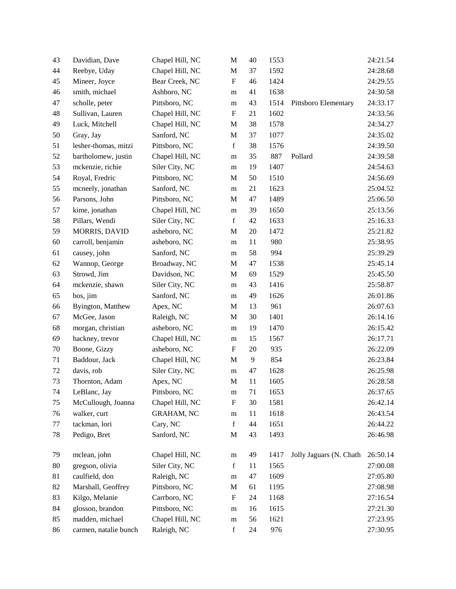| 43 | Davidian, Dave        | Chapel Hill, NC   | $\mathbf M$               | 40 | 1553 |                         | 24:21.54 |
|----|-----------------------|-------------------|---------------------------|----|------|-------------------------|----------|
| 44 | Reebye, Uday          | Chapel Hill, NC   | $\mathbf M$               | 37 | 1592 |                         | 24:28.68 |
| 45 | Mineer, Joyce         | Bear Creek, NC    | ${\bf F}$                 | 46 | 1424 |                         | 24:29.55 |
| 46 | smith, michael        | Ashboro, NC       | m                         | 41 | 1638 |                         | 24:30.58 |
| 47 | scholle, peter        | Pittsboro, NC     | m                         | 43 | 1514 | Pittsboro Elementary    | 24:33.17 |
| 48 | Sullivan, Lauren      | Chapel Hill, NC   | $\mathbf{F}$              | 21 | 1602 |                         | 24:33.56 |
| 49 | Luck, Mitchell        | Chapel Hill, NC   | $\mathbf M$               | 38 | 1578 |                         | 24:34.27 |
| 50 | Gray, Jay             | Sanford, NC       | $\mathbf M$               | 37 | 1077 |                         | 24:35.02 |
| 51 | lesher-thomas, mitzi  | Pittsboro, NC     | $\mathbf f$               | 38 | 1576 |                         | 24:39.50 |
| 52 | bartholomew, justin   | Chapel Hill, NC   | m                         | 35 | 887  | Pollard                 | 24:39.58 |
| 53 | mckenzie, richie      | Siler City, NC    | m                         | 19 | 1407 |                         | 24:54.63 |
| 54 | Royal, Fredric        | Pittsboro, NC     | M                         | 50 | 1510 |                         | 24:56.69 |
| 55 | mcneely, jonathan     | Sanford, NC       | m                         | 21 | 1623 |                         | 25:04.52 |
| 56 | Parsons, John         | Pittsboro, NC     | M                         | 47 | 1489 |                         | 25:06.50 |
| 57 | kime, jonathan        | Chapel Hill, NC   | m                         | 39 | 1650 |                         | 25:13.56 |
| 58 | Pillars, Wendi        | Siler City, NC    | $\mathbf f$               | 42 | 1633 |                         | 25:16.33 |
| 59 | MORRIS, DAVID         | asheboro, NC      | $\mathbf M$               | 20 | 1472 |                         | 25:21.82 |
| 60 | carroll, benjamin     | asheboro, NC      | ${\rm m}$                 | 11 | 980  |                         | 25:38.95 |
| 61 | causey, john          | Sanford, NC       | m                         | 58 | 994  |                         | 25:39.29 |
| 62 | Wannop, George        | Broadway, NC      | $\mathbf M$               | 47 | 1538 |                         | 25:45.14 |
| 63 | Strowd, Jim           | Davidson, NC      | M                         | 69 | 1529 |                         | 25:45.50 |
| 64 | mckenzie, shawn       | Siler City, NC    | m                         | 43 | 1416 |                         | 25:58.87 |
| 65 | bos, jim              | Sanford, NC       | m                         | 49 | 1626 |                         | 26:01.86 |
| 66 | Byington, Matthew     | Apex, NC          | M                         | 13 | 961  |                         | 26:07.63 |
| 67 | McGee, Jason          | Raleigh, NC       | M                         | 30 | 1401 |                         | 26:14.16 |
| 68 | morgan, christian     | asheboro, NC      | m                         | 19 | 1470 |                         | 26:15.42 |
| 69 | hackney, trevor       | Chapel Hill, NC   | m                         | 15 | 1567 |                         | 26:17.71 |
| 70 | Boone, Gizzy          | asheboro, NC      | ${\bf F}$                 | 20 | 935  |                         | 26:22.09 |
| 71 | Baddour, Jack         | Chapel Hill, NC   | $\mathbf M$               | 9  | 854  |                         | 26:23.84 |
| 72 | davis, rob            | Siler City, NC    | ${\rm m}$                 | 47 | 1628 |                         | 26:25.98 |
| 73 | Thornton, Adam        | Apex, NC          | M                         | 11 | 1605 |                         | 26:28.58 |
| 74 | LeBlanc, Jay          | Pittsboro, NC     | m                         | 71 | 1653 |                         | 26:37.65 |
| 75 | McCullough, Joanna    | Chapel Hill, NC   | $\boldsymbol{\mathrm{F}}$ | 30 | 1581 |                         | 26:42.14 |
| 76 | walker, curt          | <b>GRAHAM, NC</b> | ${\rm m}$                 | 11 | 1618 |                         | 26:43.54 |
| 77 | tackman, lori         | Cary, NC          | $\mathbf f$               | 44 | 1651 |                         | 26:44.22 |
| 78 | Pedigo, Bret          | Sanford, NC       | M                         | 43 | 1493 |                         | 26:46.98 |
| 79 | mclean, john          | Chapel Hill, NC   | ${\bf m}$                 | 49 | 1417 | Jolly Jaguars (N. Chath | 26:50.14 |
| 80 | gregson, olivia       | Siler City, NC    | $\mathbf f$               | 11 | 1565 |                         | 27:00.08 |
| 81 | caulfield, don        | Raleigh, NC       | m                         | 47 | 1609 |                         | 27:05.80 |
| 82 | Marshall, Geoffrey    | Pittsboro, NC     | $\mathbf M$               | 61 | 1195 |                         | 27:08.98 |
| 83 | Kilgo, Melanie        | Carrboro, NC      | $\boldsymbol{F}$          | 24 | 1168 |                         | 27:16.54 |
| 84 | glosson, brandon      | Pittsboro, NC     | ${\rm m}$                 | 16 | 1615 |                         | 27:21.30 |
| 85 | madden, michael       | Chapel Hill, NC   | ${\rm m}$                 | 56 | 1621 |                         | 27:23.95 |
| 86 | carmen, natalie bunch | Raleigh, NC       | $\mathbf f$               | 24 | 976  |                         | 27:30.95 |
|    |                       |                   |                           |    |      |                         |          |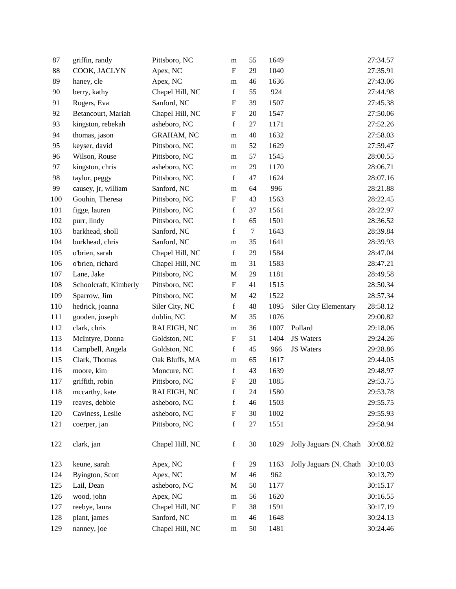| 87  | griffin, randy        | Pittsboro, NC   | m                         | 55               | 1649 |                              | 27:34.57 |
|-----|-----------------------|-----------------|---------------------------|------------------|------|------------------------------|----------|
| 88  | COOK, JACLYN          | Apex, NC        | $\mathbf F$               | 29               | 1040 |                              | 27:35.91 |
| 89  | haney, cle            | Apex, NC        | m                         | 46               | 1636 |                              | 27:43.06 |
| 90  | berry, kathy          | Chapel Hill, NC | $\mathbf f$               | 55               | 924  |                              | 27:44.98 |
| 91  | Rogers, Eva           | Sanford, NC     | $\boldsymbol{\mathrm{F}}$ | 39               | 1507 |                              | 27:45.38 |
| 92  | Betancourt, Mariah    | Chapel Hill, NC | $\boldsymbol{\mathrm{F}}$ | 20               | 1547 |                              | 27:50.06 |
| 93  | kingston, rebekah     | asheboro, NC    | f                         | $27\,$           | 1171 |                              | 27:52.26 |
| 94  | thomas, jason         | GRAHAM, NC      | m                         | 40               | 1632 |                              | 27:58.03 |
| 95  | keyser, david         | Pittsboro, NC   | m                         | 52               | 1629 |                              | 27:59.47 |
| 96  | Wilson, Rouse         | Pittsboro, NC   | m                         | 57               | 1545 |                              | 28:00.55 |
| 97  | kingston, chris       | asheboro, NC    | m                         | 29               | 1170 |                              | 28:06.71 |
| 98  | taylor, peggy         | Pittsboro, NC   | $\mathbf f$               | 47               | 1624 |                              | 28:07.16 |
| 99  | causey, jr, william   | Sanford, NC     | m                         | 64               | 996  |                              | 28:21.88 |
| 100 | Gouhin, Theresa       | Pittsboro, NC   | $\boldsymbol{\mathrm{F}}$ | 43               | 1563 |                              | 28:22.45 |
| 101 | figge, lauren         | Pittsboro, NC   | $\mathbf f$               | 37               | 1561 |                              | 28:22.97 |
| 102 | purr, lindy           | Pittsboro, NC   | $\mathbf f$               | 65               | 1501 |                              | 28:36.52 |
| 103 | barkhead, sholl       | Sanford, NC     | $\mathbf f$               | $\boldsymbol{7}$ | 1643 |                              | 28:39.84 |
| 104 | burkhead, chris       | Sanford, NC     | m                         | 35               | 1641 |                              | 28:39.93 |
| 105 | o'brien, sarah        | Chapel Hill, NC | $\mathbf f$               | 29               | 1584 |                              | 28:47.04 |
| 106 | o'brien, richard      | Chapel Hill, NC | m                         | 31               | 1583 |                              | 28:47.21 |
| 107 | Lane, Jake            | Pittsboro, NC   | M                         | 29               | 1181 |                              | 28:49.58 |
| 108 | Schoolcraft, Kimberly | Pittsboro, NC   | $\boldsymbol{\mathrm{F}}$ | 41               | 1515 |                              | 28:50.34 |
| 109 | Sparrow, Jim          | Pittsboro, NC   | $\mathbf M$               | 42               | 1522 |                              | 28:57.34 |
| 110 | hedrick, joanna       | Siler City, NC  | $\mathbf f$               | 48               | 1095 | <b>Siler City Elementary</b> | 28:58.12 |
| 111 | gooden, joseph        | dublin, NC      | M                         | 35               | 1076 |                              | 29:00.82 |
| 112 | clark, chris          | RALEIGH, NC     | m                         | 36               | 1007 | Pollard                      | 29:18.06 |
| 113 | McIntyre, Donna       | Goldston, NC    | F                         | 51               | 1404 | JS Waters                    | 29:24.26 |
| 114 | Campbell, Angela      | Goldston, NC    | $\mathbf f$               | 45               | 966  | <b>JS Waters</b>             | 29:28.86 |
| 115 | Clark, Thomas         | Oak Bluffs, MA  | m                         | 65               | 1617 |                              | 29:44.05 |
| 116 | moore, kim            | Moncure, NC     | $\mathbf f$               | 43               | 1639 |                              | 29:48.97 |
| 117 | griffith, robin       | Pittsboro, NC   | $\boldsymbol{\mathrm{F}}$ | 28               | 1085 |                              | 29:53.75 |
| 118 | mccarthy, kate        | RALEIGH, NC     | f                         | 24               | 1580 |                              | 29:53.78 |
| 119 | reaves, debbie        | asheboro, NC    | $\mathbf f$               | 46               | 1503 |                              | 29:55.75 |
| 120 | Caviness, Leslie      | asheboro, NC    | F                         | 30               | 1002 |                              | 29:55.93 |
| 121 | coerper, jan          | Pittsboro, NC   | $\mathbf f$               | $27\,$           | 1551 |                              | 29:58.94 |
| 122 | clark, jan            | Chapel Hill, NC | $\mathbf f$               | 30               | 1029 | Jolly Jaguars (N. Chath      | 30:08.82 |
| 123 | keune, sarah          | Apex, NC        | $\mathbf f$               | 29               | 1163 | Jolly Jaguars (N. Chath      | 30:10.03 |
| 124 | Byington, Scott       | Apex, NC        | M                         | 46               | 962  |                              | 30:13.79 |
| 125 | Lail, Dean            | asheboro, NC    | M                         | 50               | 1177 |                              | 30:15.17 |
| 126 | wood, john            | Apex, NC        | m                         | 56               | 1620 |                              | 30:16.55 |
| 127 | reebye, laura         | Chapel Hill, NC | $\boldsymbol{F}$          | 38               | 1591 |                              | 30:17.19 |
| 128 | plant, james          | Sanford, NC     | ${\bf m}$                 | 46               | 1648 |                              | 30:24.13 |
| 129 | nanney, joe           | Chapel Hill, NC | ${\bf m}$                 | 50               | 1481 |                              | 30:24.46 |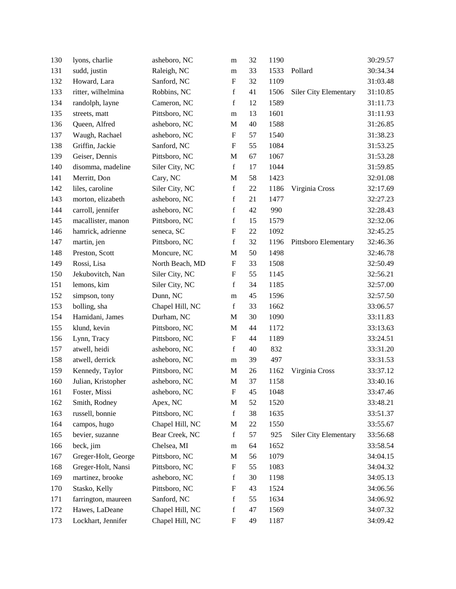| 130 | lyons, charlie      | asheboro, NC    | m                         | 32 | 1190 |                              | 30:29.57 |
|-----|---------------------|-----------------|---------------------------|----|------|------------------------------|----------|
| 131 | sudd, justin        | Raleigh, NC     | m                         | 33 | 1533 | Pollard                      | 30:34.34 |
| 132 | Howard, Lara        | Sanford, NC     | ${\bf F}$                 | 32 | 1109 |                              | 31:03.48 |
| 133 | ritter, wilhelmina  | Robbins, NC     | $\mathbf f$               | 41 | 1506 | <b>Siler City Elementary</b> | 31:10.85 |
| 134 | randolph, layne     | Cameron, NC     | $\mathbf f$               | 12 | 1589 |                              | 31:11.73 |
| 135 | streets, matt       | Pittsboro, NC   | m                         | 13 | 1601 |                              | 31:11.93 |
| 136 | Queen, Alfred       | asheboro, NC    | $\mathbf M$               | 40 | 1588 |                              | 31:26.85 |
| 137 | Waugh, Rachael      | asheboro, NC    | ${\bf F}$                 | 57 | 1540 |                              | 31:38.23 |
| 138 | Griffin, Jackie     | Sanford, NC     | $\boldsymbol{\mathrm{F}}$ | 55 | 1084 |                              | 31:53.25 |
| 139 | Geiser, Dennis      | Pittsboro, NC   | $\mathbf M$               | 67 | 1067 |                              | 31:53.28 |
| 140 | disomma, madeline   | Siler City, NC  | $\mathbf f$               | 17 | 1044 |                              | 31:59.85 |
| 141 | Merritt, Don        | Cary, NC        | M                         | 58 | 1423 |                              | 32:01.08 |
| 142 | liles, caroline     | Siler City, NC  | $\mathbf f$               | 22 | 1186 | Virginia Cross               | 32:17.69 |
| 143 | morton, elizabeth   | asheboro, NC    | $\mathbf f$               | 21 | 1477 |                              | 32:27.23 |
| 144 | carroll, jennifer   | asheboro, NC    | $\mathbf f$               | 42 | 990  |                              | 32:28.43 |
| 145 | macallister, manon  | Pittsboro, NC   | $\mathbf f$               | 15 | 1579 |                              | 32:32.06 |
| 146 | hamrick, adrienne   | seneca, SC      | $\boldsymbol{\mathrm{F}}$ | 22 | 1092 |                              | 32:45.25 |
| 147 | martin, jen         | Pittsboro, NC   | $\mathbf f$               | 32 | 1196 | Pittsboro Elementary         | 32:46.36 |
| 148 | Preston, Scott      | Moncure, NC     | M                         | 50 | 1498 |                              | 32:46.78 |
| 149 | Rossi, Lisa         | North Beach, MD | ${\bf F}$                 | 33 | 1508 |                              | 32:50.49 |
| 150 | Jekubovitch, Nan    | Siler City, NC  | ${\bf F}$                 | 55 | 1145 |                              | 32:56.21 |
| 151 | lemons, kim         | Siler City, NC  | $\mathbf f$               | 34 | 1185 |                              | 32:57.00 |
| 152 | simpson, tony       | Dunn, NC        | m                         | 45 | 1596 |                              | 32:57.50 |
| 153 | bolling, sha        | Chapel Hill, NC | $\mathbf f$               | 33 | 1662 |                              | 33:06.57 |
| 154 | Hamidani, James     | Durham, NC      | M                         | 30 | 1090 |                              | 33:11.83 |
| 155 | klund, kevin        | Pittsboro, NC   | M                         | 44 | 1172 |                              | 33:13.63 |
| 156 | Lynn, Tracy         | Pittsboro, NC   | $\boldsymbol{\mathrm{F}}$ | 44 | 1189 |                              | 33:24.51 |
| 157 | atwell, heidi       | asheboro, NC    | $\mathbf f$               | 40 | 832  |                              | 33:31.20 |
| 158 | atwell, derrick     | asheboro, NC    | m                         | 39 | 497  |                              | 33:31.53 |
| 159 | Kennedy, Taylor     | Pittsboro, NC   | $\mathbf M$               | 26 | 1162 | Virginia Cross               | 33:37.12 |
| 160 | Julian, Kristopher  | asheboro, NC    | M                         | 37 | 1158 |                              | 33:40.16 |
| 161 | Foster, Missi       | asheboro, NC    | F                         | 45 | 1048 |                              | 33:47.46 |
| 162 | Smith, Rodney       | Apex, NC        | $\mathbf M$               | 52 | 1520 |                              | 33:48.21 |
| 163 | russell, bonnie     | Pittsboro, NC   | $\mathbf f$               | 38 | 1635 |                              | 33:51.37 |
| 164 | campos, hugo        | Chapel Hill, NC | M                         | 22 | 1550 |                              | 33:55.67 |
| 165 | bevier, suzanne     | Bear Creek, NC  | $\mathbf f$               | 57 | 925  | <b>Siler City Elementary</b> | 33:56.68 |
| 166 | beck, jim           | Chelsea, MI     | ${\rm m}$                 | 64 | 1652 |                              | 33:58.54 |
| 167 | Greger-Holt, George | Pittsboro, NC   | $\mathbf M$               | 56 | 1079 |                              | 34:04.15 |
| 168 | Greger-Holt, Nansi  | Pittsboro, NC   | F                         | 55 | 1083 |                              | 34:04.32 |
| 169 | martinez, brooke    | asheboro, NC    | $\mathbf f$               | 30 | 1198 |                              | 34:05.13 |
| 170 | Stasko, Kelly       | Pittsboro, NC   | $\boldsymbol{\mathrm{F}}$ | 43 | 1524 |                              | 34:06.56 |
| 171 | farrington, maureen | Sanford, NC     | $\mathbf f$               | 55 | 1634 |                              | 34:06.92 |
| 172 | Hawes, LaDeane      | Chapel Hill, NC | $\mathbf f$               | 47 | 1569 |                              | 34:07.32 |
| 173 | Lockhart, Jennifer  | Chapel Hill, NC | ${\bf F}$                 | 49 | 1187 |                              | 34:09.42 |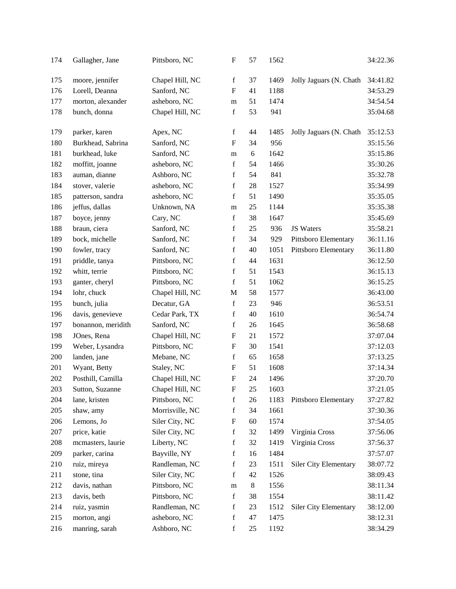| 174 | Gallagher, Jane    | Pittsboro, NC   | $\boldsymbol{\mathrm{F}}$ | 57 | 1562 |                              | 34:22.36 |
|-----|--------------------|-----------------|---------------------------|----|------|------------------------------|----------|
| 175 | moore, jennifer    | Chapel Hill, NC | f                         | 37 | 1469 | Jolly Jaguars (N. Chath      | 34:41.82 |
| 176 | Lorell, Deanna     | Sanford, NC     | $\boldsymbol{\mathrm{F}}$ | 41 | 1188 |                              | 34:53.29 |
| 177 | morton, alexander  | asheboro, NC    | m                         | 51 | 1474 |                              | 34:54.54 |
| 178 | bunch, donna       | Chapel Hill, NC | $\mathbf f$               | 53 | 941  |                              | 35:04.68 |
| 179 | parker, karen      | Apex, NC        | f                         | 44 | 1485 | Jolly Jaguars (N. Chath      | 35:12.53 |
| 180 | Burkhead, Sabrina  | Sanford, NC     | $\boldsymbol{\mathrm{F}}$ | 34 | 956  |                              | 35:15.56 |
| 181 | burkhead, luke     | Sanford, NC     | m                         | 6  | 1642 |                              | 35:15.86 |
| 182 | moffitt, joanne    | asheboro, NC    | $\mathbf f$               | 54 | 1466 |                              | 35:30.26 |
| 183 | auman, dianne      | Ashboro, NC     | $\mathbf f$               | 54 | 841  |                              | 35:32.78 |
| 184 | stover, valerie    | asheboro, NC    | $\mathbf f$               | 28 | 1527 |                              | 35:34.99 |
| 185 | patterson, sandra  | asheboro, NC    | $\mathbf f$               | 51 | 1490 |                              | 35:35.05 |
| 186 | jeffus, dallas     | Unknown, NA     | m                         | 25 | 1144 |                              | 35:35.38 |
| 187 | boyce, jenny       | Cary, NC        | $\mathbf f$               | 38 | 1647 |                              | 35:45.69 |
| 188 | braun, ciera       | Sanford, NC     | $\mathbf f$               | 25 | 936  | JS Waters                    | 35:58.21 |
| 189 | bock, michelle     | Sanford, NC     | f                         | 34 | 929  | Pittsboro Elementary         | 36:11.16 |
| 190 | fowler, tracy      | Sanford, NC     | $\mathbf f$               | 40 | 1051 | Pittsboro Elementary         | 36:11.80 |
| 191 | priddle, tanya     | Pittsboro, NC   | $\mathbf f$               | 44 | 1631 |                              | 36:12.50 |
| 192 | whitt, terrie      | Pittsboro, NC   | $\mathbf f$               | 51 | 1543 |                              | 36:15.13 |
| 193 | ganter, cheryl     | Pittsboro, NC   | $\mathbf f$               | 51 | 1062 |                              | 36:15.25 |
| 194 | lohr, chuck        | Chapel Hill, NC | M                         | 58 | 1577 |                              | 36:43.00 |
| 195 | bunch, julia       | Decatur, GA     | $\mathbf f$               | 23 | 946  |                              | 36:53.51 |
| 196 | davis, genevieve   | Cedar Park, TX  | $\mathbf f$               | 40 | 1610 |                              | 36:54.74 |
| 197 | bonannon, meridith | Sanford, NC     | $\mathbf f$               | 26 | 1645 |                              | 36:58.68 |
| 198 | JOnes, Rena        | Chapel Hill, NC | $\mathbf F$               | 21 | 1572 |                              | 37:07.04 |
| 199 | Weber, Lysandra    | Pittsboro, NC   | $\boldsymbol{\mathrm{F}}$ | 30 | 1541 |                              | 37:12.03 |
| 200 | landen, jane       | Mebane, NC      | $\mathbf f$               | 65 | 1658 |                              | 37:13.25 |
| 201 | Wyant, Betty       | Staley, NC      | $\boldsymbol{\mathrm{F}}$ | 51 | 1608 |                              | 37:14.34 |
| 202 | Posthill, Camilla  | Chapel Hill, NC | ${\bf F}$                 | 24 | 1496 |                              | 37:20.70 |
| 203 | Sutton, Suzanne    | Chapel Hill, NC | ${\bf F}$                 | 25 | 1603 |                              | 37:21.05 |
| 204 | lane, kristen      | Pittsboro, NC   | $\mathbf f$               | 26 | 1183 | Pittsboro Elementary         | 37:27.82 |
| 205 | shaw, amy          | Morrisville, NC | $\mathbf f$               | 34 | 1661 |                              | 37:30.36 |
| 206 | Lemons, Jo         | Siler City, NC  | $\boldsymbol{\mathrm{F}}$ | 60 | 1574 |                              | 37:54.05 |
| 207 | price, katie       | Siler City, NC  | f                         | 32 | 1499 | Virginia Cross               | 37:56.06 |
| 208 | mcmasters, laurie  | Liberty, NC     | f                         | 32 | 1419 | Virginia Cross               | 37:56.37 |
| 209 | parker, carina     | Bayville, NY    | $\mathbf f$               | 16 | 1484 |                              | 37:57.07 |
| 210 | ruiz, mireya       | Randleman, NC   | $\mathbf f$               | 23 | 1511 | Siler City Elementary        | 38:07.72 |
| 211 | stone, tina        | Siler City, NC  | f                         | 42 | 1526 |                              | 38:09.43 |
| 212 | davis, nathan      | Pittsboro, NC   | m                         | 8  | 1556 |                              | 38:11.34 |
| 213 | davis, beth        | Pittsboro, NC   | $\mathbf f$               | 38 | 1554 |                              | 38:11.42 |
| 214 | ruiz, yasmin       | Randleman, NC   | $\mathbf f$               | 23 | 1512 | <b>Siler City Elementary</b> | 38:12.00 |
| 215 | morton, angi       | asheboro, NC    | $\mathbf f$               | 47 | 1475 |                              | 38:12.31 |
| 216 | manring, sarah     | Ashboro, NC     | f                         | 25 | 1192 |                              | 38:34.29 |
|     |                    |                 |                           |    |      |                              |          |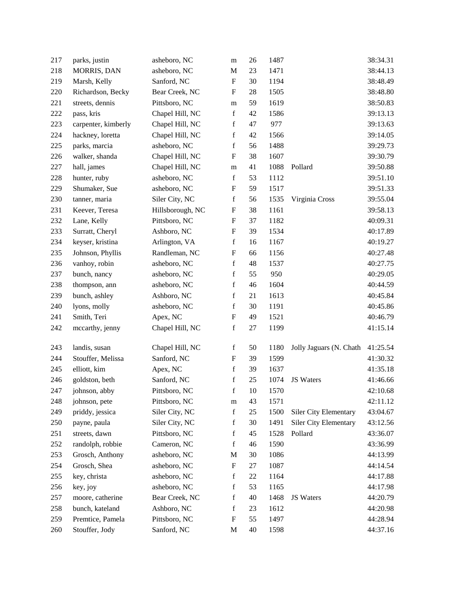| 217 | parks, justin       | asheboro, NC     | m                         | 26     | 1487 |                              | 38:34.31 |
|-----|---------------------|------------------|---------------------------|--------|------|------------------------------|----------|
| 218 | <b>MORRIS, DAN</b>  | asheboro, NC     | $\mathbf M$               | 23     | 1471 |                              | 38:44.13 |
| 219 | Marsh, Kelly        | Sanford, NC      | $\boldsymbol{\mathrm{F}}$ | 30     | 1194 |                              | 38:48.49 |
| 220 | Richardson, Becky   | Bear Creek, NC   | $\boldsymbol{\mathrm{F}}$ | 28     | 1505 |                              | 38:48.80 |
| 221 | streets, dennis     | Pittsboro, NC    | m                         | 59     | 1619 |                              | 38:50.83 |
| 222 | pass, kris          | Chapel Hill, NC  | $\mathbf f$               | 42     | 1586 |                              | 39:13.13 |
| 223 | carpenter, kimberly | Chapel Hill, NC  | f                         | 47     | 977  |                              | 39:13.63 |
| 224 | hackney, loretta    | Chapel Hill, NC  | $\mathbf f$               | 42     | 1566 |                              | 39:14.05 |
| 225 | parks, marcia       | asheboro, NC     | $\mathbf f$               | 56     | 1488 |                              | 39:29.73 |
| 226 | walker, shanda      | Chapel Hill, NC  | $\boldsymbol{\mathrm{F}}$ | 38     | 1607 |                              | 39:30.79 |
| 227 | hall, james         | Chapel Hill, NC  | m                         | 41     | 1088 | Pollard                      | 39:50.88 |
| 228 | hunter, ruby        | asheboro, NC     | f                         | 53     | 1112 |                              | 39:51.10 |
| 229 | Shumaker, Sue       | asheboro, NC     | $\boldsymbol{\mathrm{F}}$ | 59     | 1517 |                              | 39:51.33 |
| 230 | tanner, maria       | Siler City, NC   | $\mathbf f$               | 56     | 1535 | Virginia Cross               | 39:55.04 |
| 231 | Keever, Teresa      | Hillsborough, NC | $\boldsymbol{\mathrm{F}}$ | 38     | 1161 |                              | 39:58.13 |
| 232 | Lane, Kelly         | Pittsboro, NC    | ${\bf F}$                 | 37     | 1182 |                              | 40:09.31 |
| 233 | Surratt, Cheryl     | Ashboro, NC      | $\boldsymbol{\mathrm{F}}$ | 39     | 1534 |                              | 40:17.89 |
| 234 | keyser, kristina    | Arlington, VA    | $\mathbf f$               | 16     | 1167 |                              | 40:19.27 |
| 235 | Johnson, Phyllis    | Randleman, NC    | $\boldsymbol{\mathrm{F}}$ | 66     | 1156 |                              | 40:27.48 |
| 236 | vanhoy, robin       | asheboro, NC     | $\mathbf f$               | 48     | 1537 |                              | 40:27.75 |
| 237 | bunch, nancy        | asheboro, NC     | $\mathbf f$               | 55     | 950  |                              | 40:29.05 |
| 238 | thompson, ann       | asheboro, NC     | f                         | 46     | 1604 |                              | 40:44.59 |
| 239 | bunch, ashley       | Ashboro, NC      | $\mathbf f$               | 21     | 1613 |                              | 40:45.84 |
| 240 | lyons, molly        | asheboro, NC     | $\mathbf f$               | 30     | 1191 |                              | 40:45.86 |
| 241 | Smith, Teri         | Apex, NC         | $\boldsymbol{\mathrm{F}}$ | 49     | 1521 |                              | 40:46.79 |
| 242 | mccarthy, jenny     | Chapel Hill, NC  | $\mathbf f$               | $27\,$ | 1199 |                              | 41:15.14 |
| 243 | landis, susan       | Chapel Hill, NC  | f                         | 50     | 1180 | Jolly Jaguars (N. Chath      | 41:25.54 |
| 244 | Stouffer, Melissa   | Sanford, NC      | ${\bf F}$                 | 39     | 1599 |                              | 41:30.32 |
| 245 | elliott, kim        | Apex, NC         | $\mathbf f$               | 39     | 1637 |                              | 41:35.18 |
| 246 | goldston, beth      | Sanford, NC      | $\mathbf f$               | 25     | 1074 | JS Waters                    | 41:46.66 |
| 247 | johnson, abby       | Pittsboro, NC    | $\mathbf f$               | $10\,$ | 1570 |                              | 42:10.68 |
| 248 | johnson, pete       | Pittsboro, NC    | ${\rm m}$                 | 43     | 1571 |                              | 42:11.12 |
| 249 | priddy, jessica     | Siler City, NC   | $\mathbf f$               | $25\,$ | 1500 | Siler City Elementary        | 43:04.67 |
| 250 | payne, paula        | Siler City, NC   | $\mathbf f$               | 30     | 1491 | <b>Siler City Elementary</b> | 43:12.56 |
| 251 | streets, dawn       | Pittsboro, NC    | f                         | 45     | 1528 | Pollard                      | 43:36.07 |
| 252 | randolph, robbie    | Cameron, NC      | $\mathbf f$               | 46     | 1590 |                              | 43:36.99 |
| 253 | Grosch, Anthony     | asheboro, NC     | M                         | 30     | 1086 |                              | 44:13.99 |
| 254 | Grosch, Shea        | asheboro, NC     | ${\bf F}$                 | $27\,$ | 1087 |                              | 44:14.54 |
| 255 | key, christa        | asheboro, NC     | $\mathbf f$               | $22\,$ | 1164 |                              | 44:17.88 |
| 256 | key, joy            | asheboro, NC     | $\mathbf f$               | 53     | 1165 |                              | 44:17.98 |
| 257 | moore, catherine    | Bear Creek, NC   | $\mathbf f$               | 40     | 1468 | JS Waters                    | 44:20.79 |
| 258 | bunch, kateland     | Ashboro, NC      | $\mathbf f$               | 23     | 1612 |                              | 44:20.98 |
| 259 | Premtice, Pamela    | Pittsboro, NC    | ${\bf F}$                 | 55     | 1497 |                              | 44:28.94 |
| 260 | Stouffer, Jody      | Sanford, NC      | M                         | $40\,$ | 1598 |                              | 44:37.16 |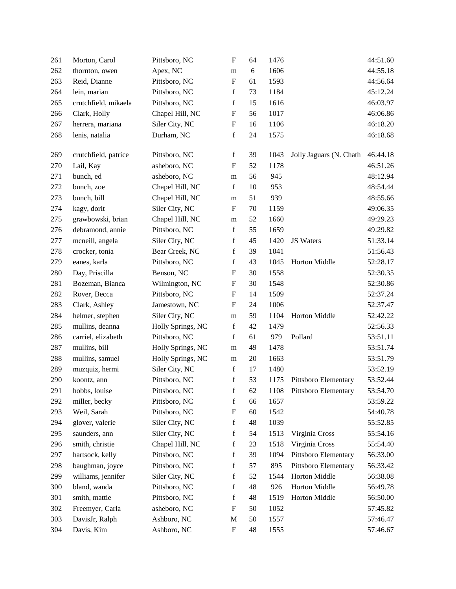| 261 | Morton, Carol        | Pittsboro, NC     | $\mathbf F$               | 64         | 1476 |                         | 44:51.60 |
|-----|----------------------|-------------------|---------------------------|------------|------|-------------------------|----------|
| 262 | thornton, owen       | Apex, NC          | m                         | $\sqrt{6}$ | 1606 |                         | 44:55.18 |
| 263 | Reid, Dianne         | Pittsboro, NC     | ${\bf F}$                 | 61         | 1593 |                         | 44:56.64 |
| 264 | lein, marian         | Pittsboro, NC     | $\mathbf f$               | 73         | 1184 |                         | 45:12.24 |
| 265 | crutchfield, mikaela | Pittsboro, NC     | $\mathbf f$               | 15         | 1616 |                         | 46:03.97 |
| 266 | Clark, Holly         | Chapel Hill, NC   | F                         | 56         | 1017 |                         | 46:06.86 |
| 267 | herrera, mariana     | Siler City, NC    | $\boldsymbol{\mathrm{F}}$ | 16         | 1106 |                         | 46:18.20 |
| 268 | lenis, natalia       | Durham, NC        | $\mathbf f$               | 24         | 1575 |                         | 46:18.68 |
|     |                      |                   |                           |            |      |                         |          |
| 269 | crutchfield, patrice | Pittsboro, NC     | $\mathbf f$               | 39         | 1043 | Jolly Jaguars (N. Chath | 46:44.18 |
| 270 | Lail, Kay            | asheboro, NC      | $\boldsymbol{\mathrm{F}}$ | 52         | 1178 |                         | 46:51.26 |
| 271 | bunch, ed            | asheboro, NC      | m                         | 56         | 945  |                         | 48:12.94 |
| 272 | bunch, zoe           | Chapel Hill, NC   | $\mathbf f$               | 10         | 953  |                         | 48:54.44 |
| 273 | bunch, bill          | Chapel Hill, NC   | m                         | 51         | 939  |                         | 48:55.66 |
| 274 | kagy, dorit          | Siler City, NC    | $\mathbf{F}$              | 70         | 1159 |                         | 49:06.35 |
| 275 | grawbowski, brian    | Chapel Hill, NC   | m                         | 52         | 1660 |                         | 49:29.23 |
| 276 | debramond, annie     | Pittsboro, NC     | f                         | 55         | 1659 |                         | 49:29.82 |
| 277 | mcneill, angela      | Siler City, NC    | $\mathbf f$               | 45         | 1420 | JS Waters               | 51:33.14 |
| 278 | crocker, tonia       | Bear Creek, NC    | $\mathbf f$               | 39         | 1041 |                         | 51:56.43 |
| 279 | eanes, karla         | Pittsboro, NC     | $\mathbf f$               | 43         | 1045 | Horton Middle           | 52:28.17 |
| 280 | Day, Priscilla       | Benson, NC        | ${\bf F}$                 | 30         | 1558 |                         | 52:30.35 |
| 281 | Bozeman, Bianca      | Wilmington, NC    | F                         | 30         | 1548 |                         | 52:30.86 |
| 282 | Rover, Becca         | Pittsboro, NC     | $\boldsymbol{\mathrm{F}}$ | 14         | 1509 |                         | 52:37.24 |
| 283 | Clark, Ashley        | Jamestown, NC     | $\boldsymbol{\mathrm{F}}$ | 24         | 1006 |                         | 52:37.47 |
| 284 | helmer, stephen      | Siler City, NC    | m                         | 59         | 1104 | Horton Middle           | 52:42.22 |
| 285 | mullins, deanna      | Holly Springs, NC | $\mathbf f$               | 42         | 1479 |                         | 52:56.33 |
| 286 | carriel, elizabeth   | Pittsboro, NC     | $\mathbf f$               | 61         | 979  | Pollard                 | 53:51.11 |
| 287 | mullins, bill        | Holly Springs, NC | ${\rm m}$                 | 49         | 1478 |                         | 53:51.74 |
| 288 | mullins, samuel      | Holly Springs, NC | m                         | $20\,$     | 1663 |                         | 53:51.79 |
| 289 | muzquiz, hermi       | Siler City, NC    | $\mathbf f$               | 17         | 1480 |                         | 53:52.19 |
| 290 | koontz, ann          | Pittsboro, NC     | $\mathbf f$               | 53         | 1175 | Pittsboro Elementary    | 53:52.44 |
| 291 | hobbs, louise        | Pittsboro, NC     | $\mathbf f$               | 62         | 1108 | Pittsboro Elementary    | 53:54.70 |
| 292 | miller, becky        | Pittsboro, NC     | $\mathbf f$               | 66         | 1657 |                         | 53:59.22 |
| 293 | Weil, Sarah          | Pittsboro, NC     | $\boldsymbol{\mathrm{F}}$ | 60         | 1542 |                         | 54:40.78 |
| 294 | glover, valerie      | Siler City, NC    | $\mathbf f$               | 48         | 1039 |                         | 55:52.85 |
| 295 | saunders, ann        | Siler City, NC    | $\mathbf f$               | 54         | 1513 | Virginia Cross          | 55:54.16 |
| 296 | smith, christie      | Chapel Hill, NC   | $\mathbf f$               | 23         | 1518 | Virginia Cross          | 55:54.40 |
| 297 | hartsock, kelly      | Pittsboro, NC     | $\mathbf f$               | 39         | 1094 | Pittsboro Elementary    | 56:33.00 |
| 298 | baughman, joyce      | Pittsboro, NC     | $\mathbf f$               | 57         | 895  | Pittsboro Elementary    | 56:33.42 |
| 299 | williams, jennifer   | Siler City, NC    | $\mathbf f$               | 52         | 1544 | Horton Middle           | 56:38.08 |
| 300 | bland, wanda         | Pittsboro, NC     | $\mathbf f$               | 48         | 926  | Horton Middle           | 56:49.78 |
| 301 | smith, mattie        | Pittsboro, NC     | $\mathbf f$               | 48         | 1519 | Horton Middle           | 56:50.00 |
| 302 | Freemyer, Carla      | asheboro, NC      | $\boldsymbol{\mathrm{F}}$ | 50         | 1052 |                         | 57:45.82 |
| 303 | DavisJr, Ralph       | Ashboro, NC       | M                         | 50         | 1557 |                         | 57:46.47 |
| 304 | Davis, Kim           | Ashboro, NC       | $\boldsymbol{\mathrm{F}}$ | 48         | 1555 |                         | 57:46.67 |